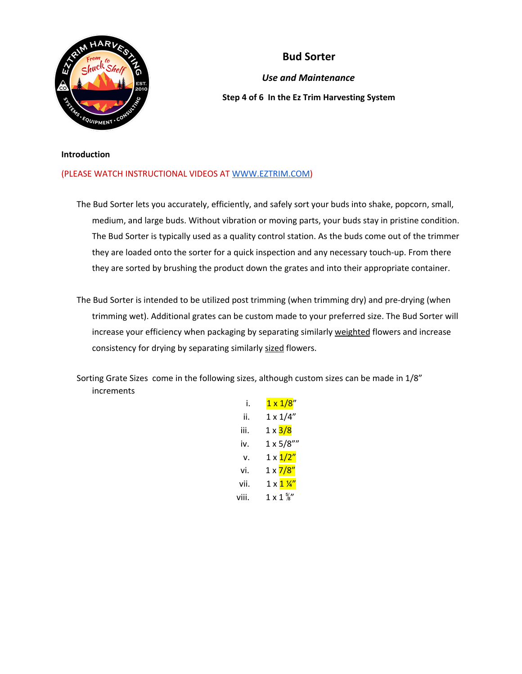

## **Bud Sorter**

*Use and Maintenance* **Step 4 of 6 In the Ez Trim Harvesting System**

#### **Introduction**

#### (PLEASE WATCH INSTRUCTIONAL VIDEOS AT [WWW.EZTRIM.COM\)](http://www.eztrim.com/)

- The Bud Sorter lets you accurately, efficiently, and safely sort your buds into shake, popcorn, small, medium, and large buds. Without vibration or moving parts, your buds stay in pristine condition. The Bud Sorter is typically used as a quality control station. As the buds come out of the trimmer they are loaded onto the sorter for a quick inspection and any necessary touch-up. From there they are sorted by brushing the product down the grates and into their appropriate container.
- The Bud Sorter is intended to be utilized post trimming (when trimming dry) and pre-drying (when trimming wet). Additional grates can be custom made to your preferred size. The Bud Sorter will increase your efficiency when packaging by separating similarly weighted flowers and increase consistency for drying by separating similarly sized flowers.

Sorting Grate Sizes come in the following sizes, although custom sizes can be made in 1/8" increments

| i.    | <mark>1 x 1/8</mark> "     |
|-------|----------------------------|
| ii.   | 1 x 1/4"                   |
| iii.  | 1 x <mark>3/8</mark>       |
| iv.   | 1 x 5/8""                  |
| v.    | 1 x <mark>1/2″</mark>      |
| vi.   | 1 x <mark>7/8"</mark>      |
| vii.  | 1 x <mark>1 ¼″</mark>      |
| viii. | $1 \times 1 \frac{5}{8}$ " |
|       |                            |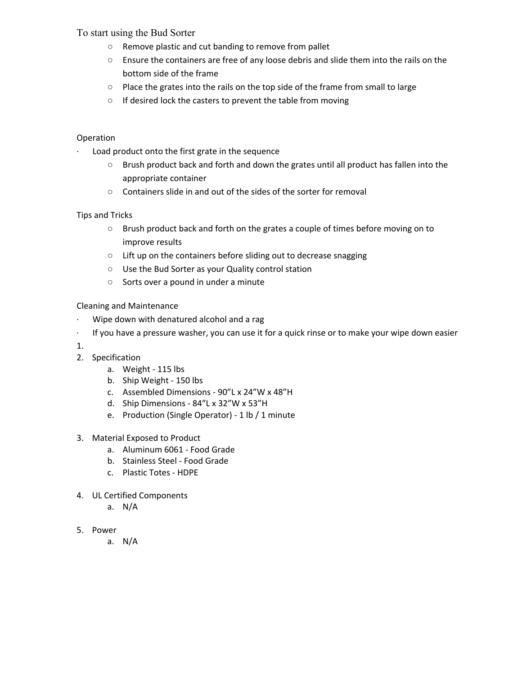### To start using the Bud Sorter

- Remove plastic and cut banding to remove from pallet
- Ensure the containers are free of any loose debris and slide them into the rails on the bottom side of the frame
- Place the grates into the rails on the top side of the frame from small to large
- If desired lock the casters to prevent the table from moving

### Operation

- Load product onto the first grate in the sequence
	- Brush product back and forth and down the grates until all product has fallen into the appropriate container
	- Containers slide in and out of the sides of the sorter for removal

### Tips and Tricks

- Brush product back and forth on the grates a couple of times before moving on to improve results
- Lift up on the containers before sliding out to decrease snagging
- Use the Bud Sorter as your Quality control station
- Sorts over a pound in under a minute

### Cleaning and Maintenance

- · Wipe down with denatured alcohol and a rag
- · If you have a pressure washer, you can use it for a quick rinse or to make your wipe down easier
- 1.
- 2. Specification
	- a. Weight 115 lbs
	- b. Ship Weight 150 lbs
	- c. Assembled Dimensions 90"L x 24"W x 48"H
	- d. Ship Dimensions 84"L x 32"W x 53"H
	- e. Production (Single Operator) 1 lb / 1 minute
- 3. Material Exposed to Product
	- a. Aluminum 6061 Food Grade
	- b. Stainless Steel Food Grade
	- c. Plastic Totes HDPE
- 4. UL Certified Components
	- a. N/A
- 5. Power
	- a. N/A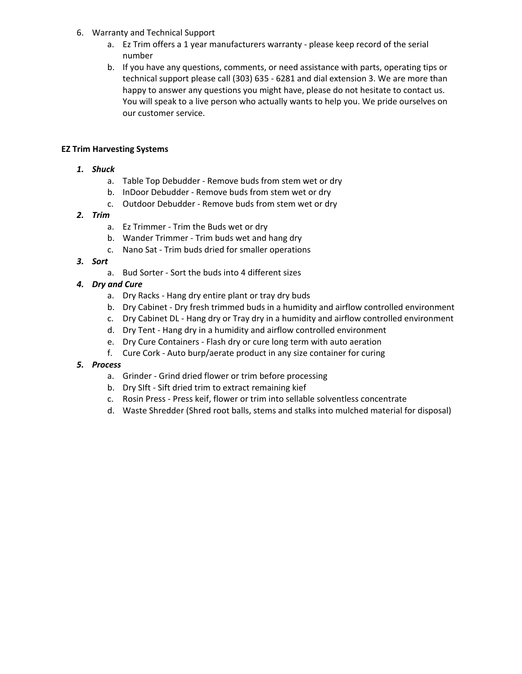- 6. Warranty and Technical Support
	- a. Ez Trim offers a 1 year manufacturers warranty please keep record of the serial number
	- b. If you have any questions, comments, or need assistance with parts, operating tips or technical support please call (303) 635 - 6281 and dial extension 3. We are more than happy to answer any questions you might have, please do not hesitate to contact us. You will speak to a live person who actually wants to help you. We pride ourselves on our customer service.

#### **EZ Trim Harvesting Systems**

- *1. Shuck*
	- a. Table Top Debudder Remove buds from stem wet or dry
	- b. InDoor Debudder Remove buds from stem wet or dry
	- c. Outdoor Debudder Remove buds from stem wet or dry

#### *2. Trim*

- a. Ez Trimmer Trim the Buds wet or dry
- b. Wander Trimmer Trim buds wet and hang dry
- c. Nano Sat Trim buds dried for smaller operations

#### *3. Sort*

a. Bud Sorter - Sort the buds into 4 different sizes

### *4. Dry and Cure*

- a. Dry Racks Hang dry entire plant or tray dry buds
- b. Dry Cabinet Dry fresh trimmed buds in a humidity and airflow controlled environment
- c. Dry Cabinet DL Hang dry or Tray dry in a humidity and airflow controlled environment
- d. Dry Tent Hang dry in a humidity and airflow controlled environment
- e. Dry Cure Containers Flash dry or cure long term with auto aeration
- f. Cure Cork Auto burp/aerate product in any size container for curing

#### *5. Process*

- a. Grinder Grind dried flower or trim before processing
- b. Dry SIft Sift dried trim to extract remaining kief
- c. Rosin Press Press keif, flower or trim into sellable solventless concentrate
- d. Waste Shredder (Shred root balls, stems and stalks into mulched material for disposal)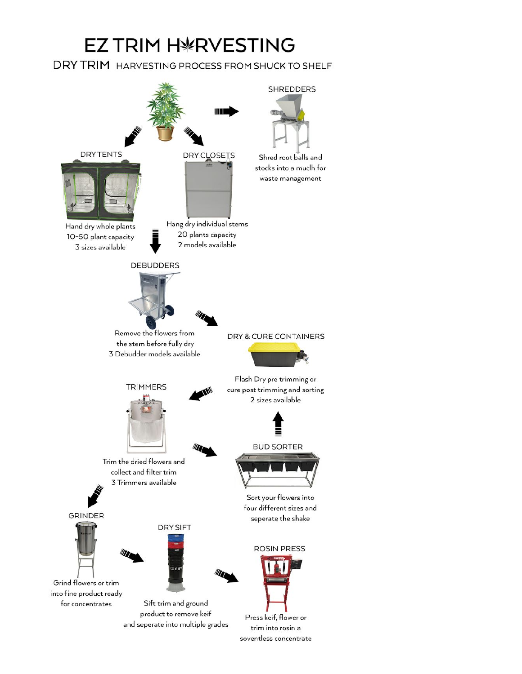# **EZ TRIM H¥RVESTING**

## DRY TRIM HARVESTING PROCESS FROM SHUCK TO SHELF